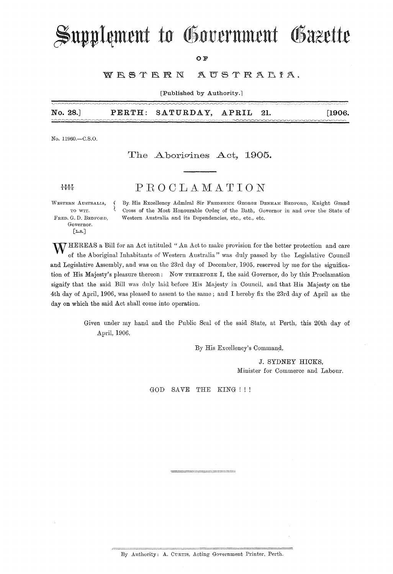# Supplement to Government Gazette

OF

#### WESTERN AUSTRALIA.

[Published by Authority.]

No. 28.] PERTH: SATURDAY, APRIL 21. [1906.

No. 11960.-C.S.0.

### The Aborioines Act, 1905.

 $\frac{1987}{1906}$  PROCLAMATION

Governor. [L.S.]

WESTERN AUSTRALIA, (By. His Excellency Admiral Sir FREDERICK GEORGE DENHAN BEDFORD, Knight Grand To WIT. (Cross of the Most Honourable Order of the Bath, Governor in and over the State of FRED. G. D. BEDFORD, Western Australia and its Dependencies, etc., etc., etc.

WHEREAS a Bill for an Act intituled "An Act to make provision for the better protection and care of the Aboriginal Inhabitants of Western Australia" was duly passed by the Legislative Council and Legislative Assembly, and was on the 23rd day of December, 1905, reserved by me for the signification of His Majesty's pleasure thereon: Now THEREFORE I, the said Governor, do by this Proclamation signify that the said Bill was duly laid before His Majesty in Council, and that His Majesty on the 4th day of April, 1906, was pleased to assent to the same; and I hereby fix the 23rd day of April as the day on which the said Act shall come into operation.

> Given under my hand and the Public Seal of the said State, at Perth, this 20th day of April, 1906.

> > By His Excellency's Command,

J. SYDNEY HICKS, Minister for Commerce and Labour.

GOD SAVE THE KING!!!

By Authority: A. CURTIS, Acting Government Printer, Perth.